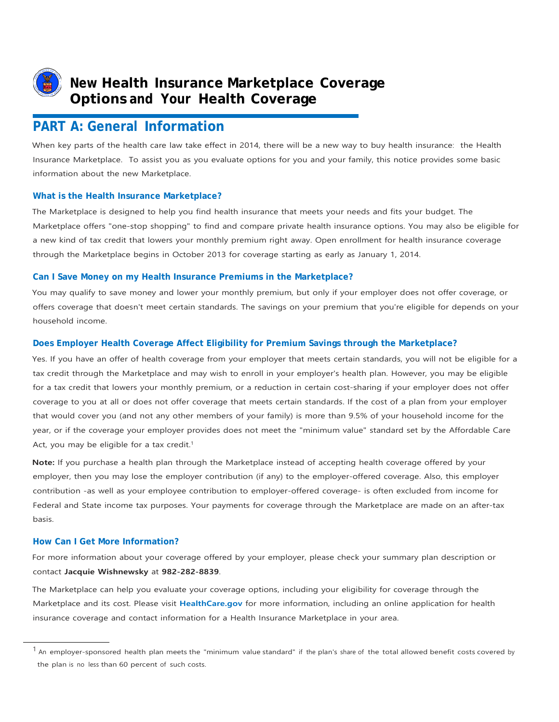

## **New Health Insurance Marketplace Coverage Options and Your Health Coverage**

### **PART A: General Information**

When key parts of the health care law take effect in 2014, there will be a new way to buy health insurance: the Health Insurance Marketplace. To assist you as you evaluate options for you and your family, this notice provides some basic information about the new Marketplace.

#### **What is the Health Insurance Marketplace?**

The Marketplace is designed to help you find health insurance that meets your needs and fits your budget. The Marketplace offers "one-stop shopping" to find and compare private health insurance options. You may also be eligible for a new kind of tax credit that lowers your monthly premium right away. Open enrollment for health insurance coverage through the Marketplace begins in October 2013 for coverage starting as early as January 1, 2014.

#### **Can I Save Money on my Health Insurance Premiums in the Marketplace?**

You may qualify to save money and lower your monthly premium, but only if your employer does not offer coverage, or offers coverage that doesn't meet certain standards. The savings on your premium that you're eligible for depends on your household income.

#### **Does Employer Health Coverage Affect Eligibility for Premium Savings through the Marketplace?**

Yes. If you have an offer of health coverage from your employer that meets certain standards, you will not be eligible for a tax credit through the Marketplace and may wish to enroll in your employer's health plan. However, you may be eligible for a tax credit that lowers your monthly premium, or a reduction in certain cost-sharing if your employer does not offer coverage to you at all or does not offer coverage that meets certain standards. If the cost of a plan from your employer that would cover you (and not any other members of your family) is more than 9.5% of your household income for the year, or if the coverage your employer provides does not meet the "minimum value" standard set by the Affordable Care Act, you may be eligible for a tax credit.<sup>1</sup>

**Note:** If you purchase a health plan through the Marketplace instead of accepting health coverage offered by your employer, then you may lose the employer contribution (if any) to the employer-offered coverage. Also, this employer contribution -as well as your employee contribution to employer-offered coverage- is often excluded from income for Federal and State income tax purposes. Your payments for coverage through the Marketplace are made on an after-tax basis.

### **How Can I Get More Information?**

For more information about your coverage offered by your employer, please check your summary plan description or contact **Jacquie Wishnewsky** at **982-282-8839**.

The Marketplace can help you evaluate your coverage options, including your eligibility for coverage through the Marketplace and its cost. Please visit **[HealthCare.gov](http://www.healthcare.gov/)** for more information, including an online application for health insurance coverage and contact information for a Health Insurance Marketplace in your area.

 $<sup>1</sup>$  An employer-sponsored health plan meets the "minimum value standard" if the plan's share of the total allowed benefit costs covered by</sup> the plan is no less than 60 percent of such costs.